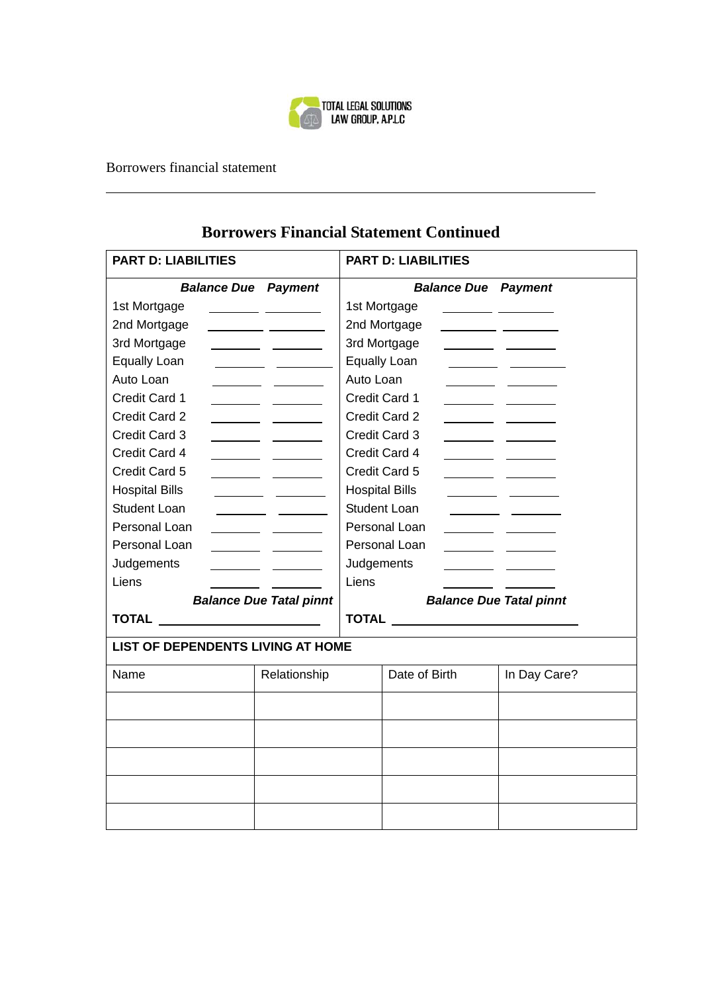

Borrowers financial statement

 $\overline{a}$ 

| <b>PART D: LIABILITIES</b>                                                                                                                                                                                                                            |              | <b>PART D: LIABILITIES</b>                                                                                                           |  |  |
|-------------------------------------------------------------------------------------------------------------------------------------------------------------------------------------------------------------------------------------------------------|--------------|--------------------------------------------------------------------------------------------------------------------------------------|--|--|
| <b>Balance Due Payment</b>                                                                                                                                                                                                                            |              | <b>Balance Due Payment</b>                                                                                                           |  |  |
| 1st Mortgage                                                                                                                                                                                                                                          |              | 1st Mortgage                                                                                                                         |  |  |
| 2nd Mortgage                                                                                                                                                                                                                                          |              | 2nd Mortgage                                                                                                                         |  |  |
| 3rd Mortgage                                                                                                                                                                                                                                          |              | 3rd Mortgage<br><u> 1990 - John Harry Barn, mars and de Branch and de Branch and de Branch and de Branch and de Branch and de Br</u> |  |  |
| <b>Equally Loan</b>                                                                                                                                                                                                                                   |              | <b>Equally Loan</b>                                                                                                                  |  |  |
| Auto Loan                                                                                                                                                                                                                                             |              | Auto Loan                                                                                                                            |  |  |
| Credit Card 1<br><u> 1999 - John Barnett, francuski politik</u>                                                                                                                                                                                       |              | Credit Card 1                                                                                                                        |  |  |
| Credit Card 2                                                                                                                                                                                                                                         |              | Credit Card 2                                                                                                                        |  |  |
| Credit Card 3                                                                                                                                                                                                                                         |              | Credit Card 3                                                                                                                        |  |  |
| Credit Card 4<br><u>and the second the second the second the second the second the second the second the second the second the second the second the second the second the second the second the second the second the second the second the seco</u> |              | Credit Card 4                                                                                                                        |  |  |
| Credit Card 5                                                                                                                                                                                                                                         |              | Credit Card 5                                                                                                                        |  |  |
| <b>Hospital Bills</b><br><u>and the second contract of the second contract of the second contract of the second contract of the second con</u>                                                                                                        |              | <b>Hospital Bills</b>                                                                                                                |  |  |
| <b>Student Loan</b><br>$\overline{\phantom{a}}$ . The set of $\overline{\phantom{a}}$                                                                                                                                                                 |              | <b>Student Loan</b>                                                                                                                  |  |  |
| Personal Loan                                                                                                                                                                                                                                         |              | Personal Loan                                                                                                                        |  |  |
| Personal Loan                                                                                                                                                                                                                                         |              | Personal Loan                                                                                                                        |  |  |
| Judgements                                                                                                                                                                                                                                            |              | Judgements                                                                                                                           |  |  |
| Liens                                                                                                                                                                                                                                                 |              | Liens                                                                                                                                |  |  |
| <b>Balance Due Tatal pinnt</b>                                                                                                                                                                                                                        |              | <b>Balance Due Tatal pinnt</b>                                                                                                       |  |  |
| TOTAL _________________________                                                                                                                                                                                                                       |              |                                                                                                                                      |  |  |
| LIST OF DEPENDENTS LIVING AT HOME                                                                                                                                                                                                                     |              |                                                                                                                                      |  |  |
|                                                                                                                                                                                                                                                       |              |                                                                                                                                      |  |  |
| Name                                                                                                                                                                                                                                                  | Relationship | Date of Birth<br>In Day Care?                                                                                                        |  |  |
|                                                                                                                                                                                                                                                       |              |                                                                                                                                      |  |  |
|                                                                                                                                                                                                                                                       |              |                                                                                                                                      |  |  |
|                                                                                                                                                                                                                                                       |              |                                                                                                                                      |  |  |
|                                                                                                                                                                                                                                                       |              |                                                                                                                                      |  |  |
|                                                                                                                                                                                                                                                       |              |                                                                                                                                      |  |  |
|                                                                                                                                                                                                                                                       |              |                                                                                                                                      |  |  |
|                                                                                                                                                                                                                                                       |              |                                                                                                                                      |  |  |

## **Borrowers Financial Statement Continued**